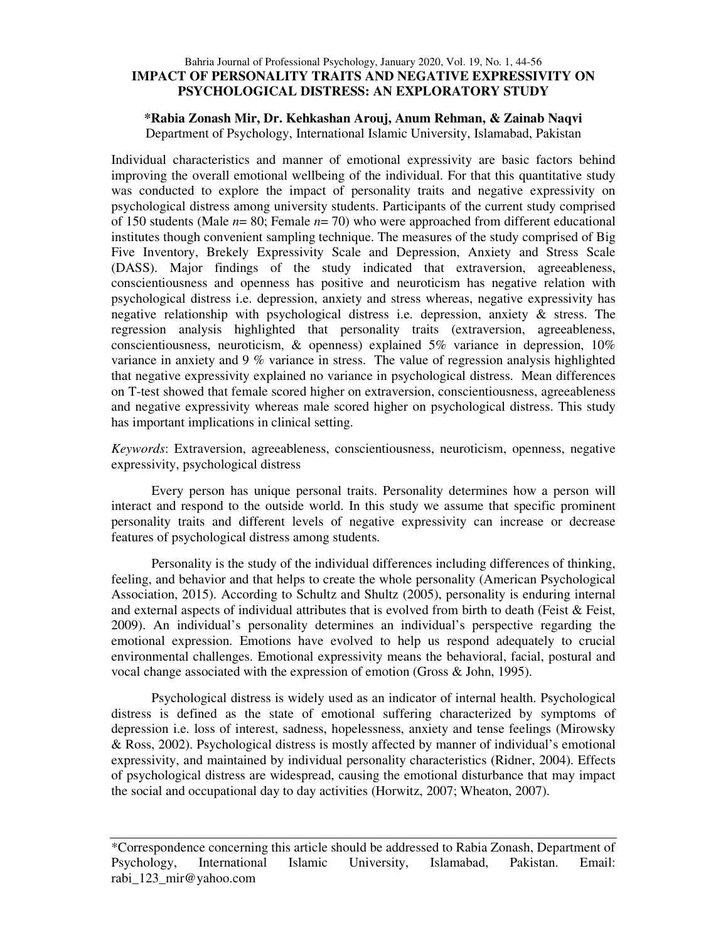# Bahria Journal of Professional Psychology, January 2020, Vol. 19, No. 1, 44-56 **IMPACT OF PERSONALITY TRAITS AND NEGATIVE EXPRESSIVITY ON PSYCHOLOGICAL DISTRESS: AN EXPLORATORY STUDY**

## **\*Rabia Zonash Mir, Dr. Kehkashan Arouj, Anum Rehman, & Zainab Naqvi** Department of Psychology, International Islamic University, Islamabad, Pakistan

Individual characteristics and manner of emotional expressivity are basic factors behind improving the overall emotional wellbeing of the individual. For that this quantitative study was conducted to explore the impact of personality traits and negative expressivity on psychological distress among university students. Participants of the current study comprised of 150 students (Male *n*= 80; Female *n*= 70) who were approached from different educational institutes though convenient sampling technique. The measures of the study comprised of Big Five Inventory, Brekely Expressivity Scale and Depression, Anxiety and Stress Scale (DASS). Major findings of the study indicated that extraversion, agreeableness, conscientiousness and openness has positive and neuroticism has negative relation with psychological distress i.e. depression, anxiety and stress whereas, negative expressivity has negative relationship with psychological distress i.e. depression, anxiety & stress. The regression analysis highlighted that personality traits (extraversion, agreeableness, conscientiousness, neuroticism,  $\&$  openness) explained 5% variance in depression, 10% variance in anxiety and 9 % variance in stress. The value of regression analysis highlighted that negative expressivity explained no variance in psychological distress. Mean differences on T-test showed that female scored higher on extraversion, conscientiousness, agreeableness and negative expressivity whereas male scored higher on psychological distress. This study has important implications in clinical setting.

*Keywords*: Extraversion, agreeableness, conscientiousness, neuroticism, openness, negative expressivity, psychological distress

Every person has unique personal traits. Personality determines how a person will interact and respond to the outside world. In this study we assume that specific prominent personality traits and different levels of negative expressivity can increase or decrease features of psychological distress among students.

Personality is the study of the individual differences including differences of thinking, feeling, and behavior and that helps to create the whole personality (American Psychological Association, 2015). According to Schultz and Shultz (2005), personality is enduring internal and external aspects of individual attributes that is evolved from birth to death (Feist & Feist, 2009). An individual's personality determines an individual's perspective regarding the emotional expression. Emotions have evolved to help us respond adequately to crucial environmental challenges. Emotional expressivity means the behavioral, facial, postural and vocal change associated with the expression of emotion (Gross & John, 1995).

Psychological distress is widely used as an indicator of internal health. Psychological distress is defined as the state of emotional suffering characterized by symptoms of depression i.e. loss of interest, sadness, hopelessness, anxiety and tense feelings (Mirowsky & Ross, 2002). Psychological distress is mostly affected by manner of individual's emotional expressivity, and maintained by individual personality characteristics (Ridner, 2004). Effects of psychological distress are widespread, causing the emotional disturbance that may impact the social and occupational day to day activities (Horwitz, 2007; Wheaton, 2007).

<sup>\*</sup>Correspondence concerning this article should be addressed to Rabia Zonash, Department of Psychology, International Islamic University, Islamabad, Pakistan. Email: rabi\_123\_mir@yahoo.com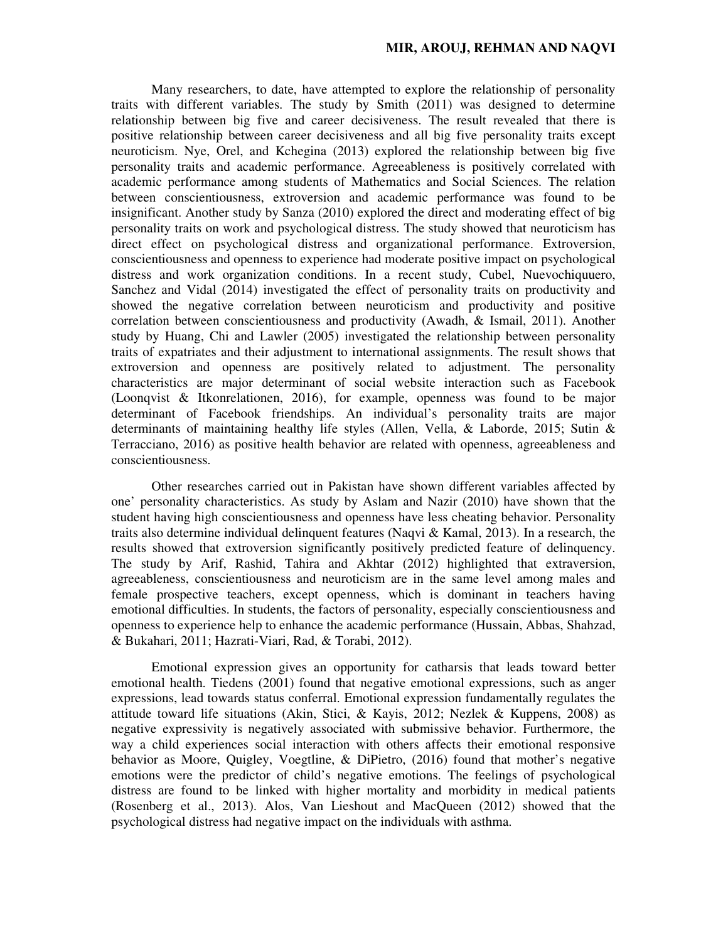Many researchers, to date, have attempted to explore the relationship of personality traits with different variables. The study by Smith (2011) was designed to determine relationship between big five and career decisiveness. The result revealed that there is positive relationship between career decisiveness and all big five personality traits except neuroticism. Nye, Orel, and Kchegina (2013) explored the relationship between big five personality traits and academic performance. Agreeableness is positively correlated with academic performance among students of Mathematics and Social Sciences. The relation between conscientiousness, extroversion and academic performance was found to be insignificant. Another study by Sanza (2010) explored the direct and moderating effect of big personality traits on work and psychological distress. The study showed that neuroticism has direct effect on psychological distress and organizational performance. Extroversion, conscientiousness and openness to experience had moderate positive impact on psychological distress and work organization conditions. In a recent study, Cubel, Nuevochiquuero, Sanchez and Vidal (2014) investigated the effect of personality traits on productivity and showed the negative correlation between neuroticism and productivity and positive correlation between conscientiousness and productivity (Awadh, & Ismail, 2011). Another study by Huang, Chi and Lawler (2005) investigated the relationship between personality traits of expatriates and their adjustment to international assignments. The result shows that extroversion and openness are positively related to adjustment. The personality characteristics are major determinant of social website interaction such as Facebook (Loonqvist & Itkonrelationen, 2016), for example, openness was found to be major determinant of Facebook friendships. An individual's personality traits are major determinants of maintaining healthy life styles (Allen, Vella, & Laborde, 2015; Sutin & Terracciano, 2016) as positive health behavior are related with openness, agreeableness and conscientiousness.

Other researches carried out in Pakistan have shown different variables affected by one' personality characteristics. As study by Aslam and Nazir (2010) have shown that the student having high conscientiousness and openness have less cheating behavior. Personality traits also determine individual delinquent features (Naqvi & Kamal, 2013). In a research, the results showed that extroversion significantly positively predicted feature of delinquency. The study by Arif, Rashid, Tahira and Akhtar (2012) highlighted that extraversion, agreeableness, conscientiousness and neuroticism are in the same level among males and female prospective teachers, except openness, which is dominant in teachers having emotional difficulties. In students, the factors of personality, especially conscientiousness and openness to experience help to enhance the academic performance (Hussain, Abbas, Shahzad, & Bukahari, 2011; Hazrati-Viari, Rad, & Torabi, 2012).

Emotional expression gives an opportunity for catharsis that leads toward better emotional health. Tiedens (2001) found that negative emotional expressions, such as anger expressions, lead towards status conferral. Emotional expression fundamentally regulates the attitude toward life situations (Akin, Stici, & Kayis, 2012; Nezlek & Kuppens, 2008) as negative expressivity is negatively associated with submissive behavior. Furthermore, the way a child experiences social interaction with others affects their emotional responsive behavior as Moore, Quigley, Voegtline, & DiPietro, (2016) found that mother's negative emotions were the predictor of child's negative emotions. The feelings of psychological distress are found to be linked with higher mortality and morbidity in medical patients (Rosenberg et al., 2013). Alos, Van Lieshout and MacQueen (2012) showed that the psychological distress had negative impact on the individuals with asthma.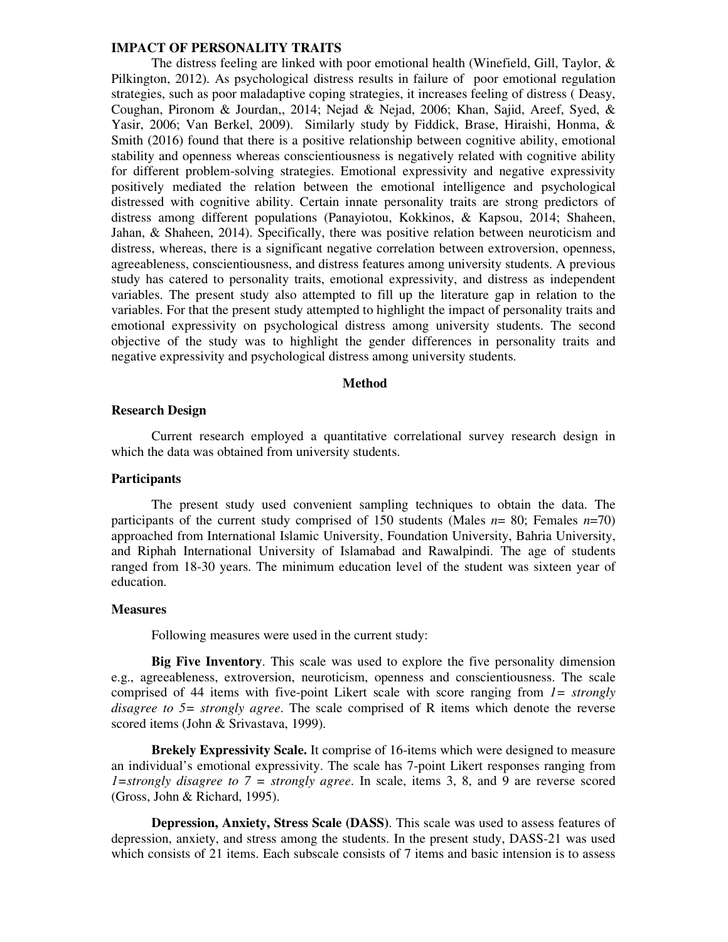The distress feeling are linked with poor emotional health (Winefield, Gill, Taylor, & Pilkington, 2012). As psychological distress results in failure of poor emotional regulation strategies, such as poor maladaptive coping strategies, it increases feeling of distress ( Deasy, Coughan, Pironom & Jourdan,, 2014; Nejad & Nejad, 2006; Khan, Sajid, Areef, Syed, & Yasir, 2006; Van Berkel, 2009). Similarly study by Fiddick, Brase, Hiraishi, Honma, & Smith (2016) found that there is a positive relationship between cognitive ability, emotional stability and openness whereas conscientiousness is negatively related with cognitive ability for different problem-solving strategies. Emotional expressivity and negative expressivity positively mediated the relation between the emotional intelligence and psychological distressed with cognitive ability. Certain innate personality traits are strong predictors of distress among different populations (Panayiotou, Kokkinos, & Kapsou, 2014; Shaheen, Jahan, & Shaheen, 2014). Specifically, there was positive relation between neuroticism and distress, whereas, there is a significant negative correlation between extroversion, openness, agreeableness, conscientiousness, and distress features among university students. A previous study has catered to personality traits, emotional expressivity, and distress as independent variables. The present study also attempted to fill up the literature gap in relation to the variables. For that the present study attempted to highlight the impact of personality traits and emotional expressivity on psychological distress among university students. The second objective of the study was to highlight the gender differences in personality traits and negative expressivity and psychological distress among university students.

#### **Method**

### **Research Design**

Current research employed a quantitative correlational survey research design in which the data was obtained from university students.

#### **Participants**

 The present study used convenient sampling techniques to obtain the data. The participants of the current study comprised of 150 students (Males  $n=80$ ; Females  $n=70$ ) approached from International Islamic University, Foundation University, Bahria University, and Riphah International University of Islamabad and Rawalpindi. The age of students ranged from 18-30 years. The minimum education level of the student was sixteen year of education.

#### **Measures**

Following measures were used in the current study:

**Big Five Inventory**. This scale was used to explore the five personality dimension e.g., agreeableness, extroversion, neuroticism, openness and conscientiousness. The scale comprised of 44 items with five-point Likert scale with score ranging from *1= strongly disagree to 5= strongly agree*. The scale comprised of R items which denote the reverse scored items (John & Srivastava, 1999).

**Brekely Expressivity Scale.** It comprise of 16-items which were designed to measure an individual's emotional expressivity. The scale has 7-point Likert responses ranging from *1=strongly disagree to 7 = strongly agree*. In scale, items 3, 8, and 9 are reverse scored (Gross, John & Richard, 1995).

**Depression, Anxiety, Stress Scale (DASS)**. This scale was used to assess features of depression, anxiety, and stress among the students. In the present study, DASS-21 was used which consists of 21 items. Each subscale consists of 7 items and basic intension is to assess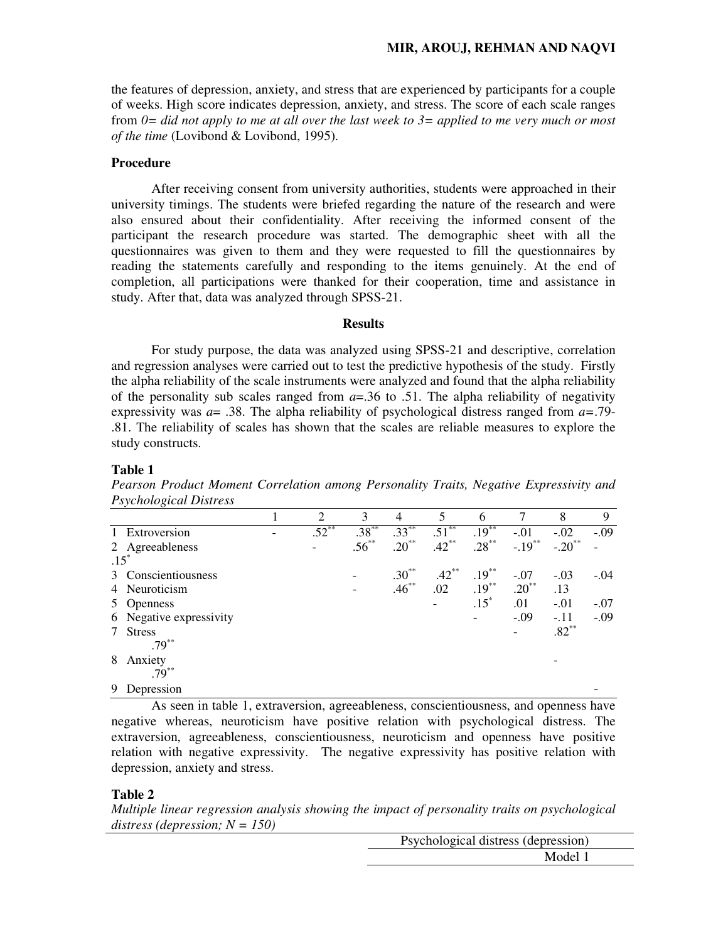the features of depression, anxiety, and stress that are experienced by participants for a couple of weeks. High score indicates depression, anxiety, and stress. The score of each scale ranges from *0= did not apply to me at all over the last week to 3= applied to me very much or most of the time* (Lovibond & Lovibond, 1995).

## **Procedure**

After receiving consent from university authorities, students were approached in their university timings. The students were briefed regarding the nature of the research and were also ensured about their confidentiality. After receiving the informed consent of the participant the research procedure was started. The demographic sheet with all the questionnaires was given to them and they were requested to fill the questionnaires by reading the statements carefully and responding to the items genuinely. At the end of completion, all participations were thanked for their cooperation, time and assistance in study. After that, data was analyzed through SPSS-21.

### **Results**

For study purpose, the data was analyzed using SPSS-21 and descriptive, correlation and regression analyses were carried out to test the predictive hypothesis of the study. Firstly the alpha reliability of the scale instruments were analyzed and found that the alpha reliability of the personality sub scales ranged from  $a = 0.36$  to .51. The alpha reliability of negativity expressivity was *a*= .38. The alpha reliability of psychological distress ranged from *a=*.79- .81. The reliability of scales has shown that the scales are reliable measures to explore the study constructs.

## **Table 1**

*Pearson Product Moment Correlation among Personality Traits, Negative Expressivity and Psychological Distress* 

|              | $\check{ }$             |                |            |            |          |          |           |                      |        |
|--------------|-------------------------|----------------|------------|------------|----------|----------|-----------|----------------------|--------|
|              |                         | $\overline{2}$ | 3          | 4          | 5        | 6        |           | 8                    | 9      |
| $\mathbf{1}$ | Extroversion            | $.52***$       | $.38***$   | $.33***$   | $.51***$ | $.19***$ | $-.01$    | $-.02$               | $-.09$ |
|              | 2 Agreeableness         |                | $.56^{**}$ | $.20^{**}$ | $.42***$ | $.28***$ | $-.19***$ | $-.20$ <sup>**</sup> |        |
|              | $.15*$                  |                |            |            |          |          |           |                      |        |
|              | 3 Conscientiousness     |                |            | $.30**$    | $.42***$ | $.19***$ | $-.07$    | $-.03$               | $-.04$ |
|              | 4 Neuroticism           |                |            | $.46***$   | .02      | $.19***$ | $.20***$  | .13                  |        |
|              | 5 Openness              |                |            |            |          | $.15*$   | .01       | $-.01$               | $-.07$ |
|              | 6 Negative expressivity |                |            |            |          |          | $-.09$    | $-.11$               | $-.09$ |
| 7            | <b>Stress</b>           |                |            |            |          |          |           | $.82**$              |        |
|              | $.79***$                |                |            |            |          |          |           |                      |        |
| 8            | Anxiety                 |                |            |            |          |          |           |                      |        |
|              | $.79***$                |                |            |            |          |          |           |                      |        |
| 9            | Depression              |                |            |            |          |          |           |                      |        |

As seen in table 1, extraversion, agreeableness, conscientiousness, and openness have negative whereas, neuroticism have positive relation with psychological distress. The extraversion, agreeableness, conscientiousness, neuroticism and openness have positive relation with negative expressivity. The negative expressivity has positive relation with depression, anxiety and stress.

#### **Table 2**

*Multiple linear regression analysis showing the impact of personality traits on psychological distress (depression; N = 150)* 

| Psychological distress (depression) |
|-------------------------------------|
| Model 1                             |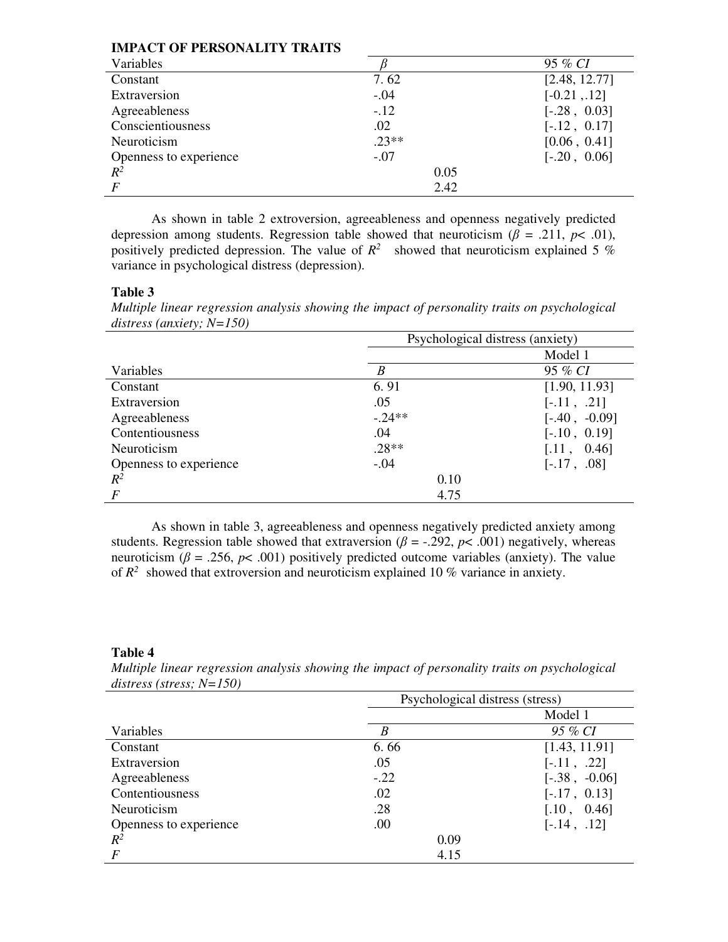| IMPACI OF PERSONALITY TRAITS |         |                |  |  |  |  |
|------------------------------|---------|----------------|--|--|--|--|
| Variables                    |         | 95 % CI        |  |  |  |  |
| Constant                     | 7.62    | [2.48, 12.77]  |  |  |  |  |
| Extraversion                 | $-.04$  | $[-0.21, 12]$  |  |  |  |  |
| Agreeableness                | $-.12$  | $[-.28, 0.03]$ |  |  |  |  |
| Conscientiousness            | .02     | $[-.12, 0.17]$ |  |  |  |  |
| Neuroticism                  | $.23**$ | [0.06, 0.41]   |  |  |  |  |
| Openness to experience       | $-.07$  | $[-.20, 0.06]$ |  |  |  |  |
| $R^2$                        | 0.05    |                |  |  |  |  |
| $\boldsymbol{F}$             | 2.42    |                |  |  |  |  |

As shown in table 2 extroversion, agreeableness and openness negatively predicted depression among students. Regression table showed that neuroticism ( $\beta$  = .211,  $p$ < .01), positively predicted depression. The value of  $R^2$  showed that neuroticism explained 5 % variance in psychological distress (depression).

## **Table 3**

*Multiple linear regression analysis showing the impact of personality traits on psychological distress (anxiety; N=150)* 

|                        | Psychological distress (anxiety) |                 |  |  |  |
|------------------------|----------------------------------|-----------------|--|--|--|
|                        |                                  | Model 1         |  |  |  |
| Variables              | B                                | 95 % CI         |  |  |  |
| Constant               | 6.91                             | [1.90, 11.93]   |  |  |  |
| Extraversion           | .05                              | $[-.11, .21]$   |  |  |  |
| Agreeableness          | $-.24**$                         | $[-.40, -0.09]$ |  |  |  |
| Contentiousness        | .04                              | $[-.10, 0.19]$  |  |  |  |
| Neuroticism            | $.28**$                          | [.11, 0.46]     |  |  |  |
| Openness to experience | $-.04$                           | $[-.17, .08]$   |  |  |  |
| $R^2$                  | 0.10                             |                 |  |  |  |
| $\overline{F}$         | 4.75                             |                 |  |  |  |

As shown in table 3, agreeableness and openness negatively predicted anxiety among students. Regression table showed that extraversion ( $\beta$  = -.292,  $p$ < .001) negatively, whereas neuroticism ( $\beta$  = .256,  $p$ < .001) positively predicted outcome variables (anxiety). The value of  $R^2$  showed that extroversion and neuroticism explained 10 % variance in anxiety.

## **Table 4**

*Multiple linear regression analysis showing the impact of personality traits on psychological distress (stress; N=150)*

|                        | Psychological distress (stress) |                 |  |  |  |
|------------------------|---------------------------------|-----------------|--|--|--|
|                        |                                 | Model 1         |  |  |  |
| Variables              | B                               | 95 % CI         |  |  |  |
| Constant               | 6.66                            | [1.43, 11.91]   |  |  |  |
| Extraversion           | .05                             | $[-.11, .22]$   |  |  |  |
| Agreeableness          | $-.22$                          | $[-.38, -0.06]$ |  |  |  |
| Contentiousness        | .02                             | $[-.17, 0.13]$  |  |  |  |
| Neuroticism            | .28                             | [.10, 0.46]     |  |  |  |
| Openness to experience | .00                             | $[-.14, .12]$   |  |  |  |
| $R^2$                  | 0.09                            |                 |  |  |  |
| $\boldsymbol{F}$       | 4.15                            |                 |  |  |  |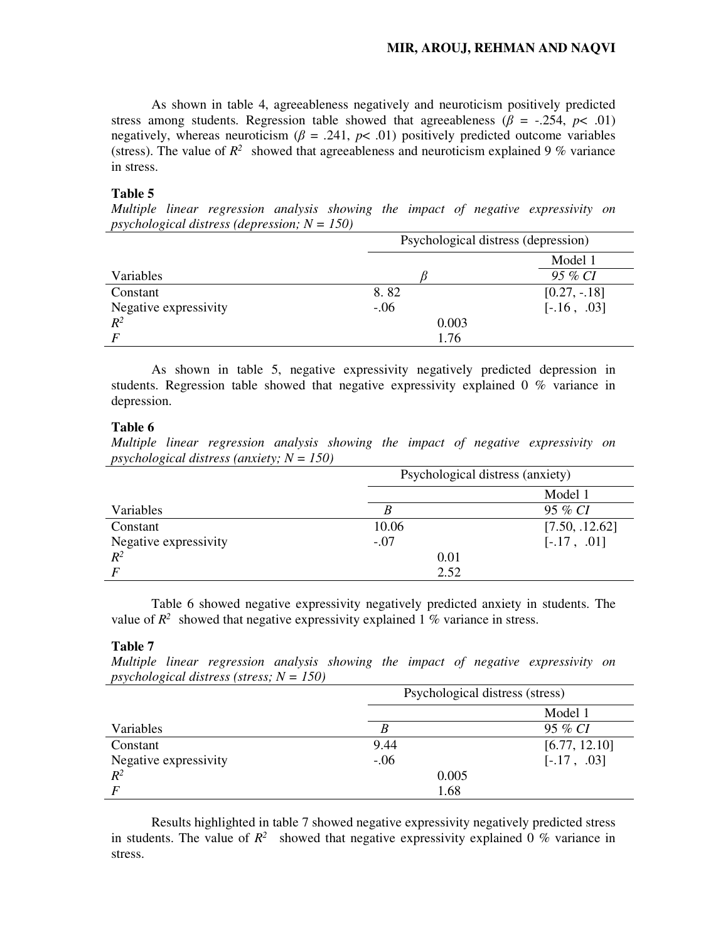As shown in table 4, agreeableness negatively and neuroticism positively predicted stress among students. Regression table showed that agreeableness ( $\beta$  = -.254, *p*< .01) negatively, whereas neuroticism ( $\beta$  = .241,  $p$ < .01) positively predicted outcome variables (stress). The value of  $R^2$  showed that agreeableness and neuroticism explained 9 % variance in stress.

## **Table 5**

*Multiple linear regression analysis showing the impact of negative expressivity on psychological distress (depression; N = 150)* 

|                       | Psychological distress (depression) |               |  |
|-----------------------|-------------------------------------|---------------|--|
|                       |                                     | Model 1       |  |
| Variables             |                                     | 95 % CI       |  |
| Constant              | 8.82                                | $[0.27, -18]$ |  |
| Negative expressivity | $-.06$                              | $[-.16, .03]$ |  |
| $R^2$                 | 0.003                               |               |  |
|                       | 1.76                                |               |  |

As shown in table 5, negative expressivity negatively predicted depression in students. Regression table showed that negative expressivity explained 0 % variance in depression.

## **Table 6**

*Multiple linear regression analysis showing the impact of negative expressivity on psychological distress (anxiety; N = 150)* 

|                       | Psychological distress (anxiety) |                |  |  |
|-----------------------|----------------------------------|----------------|--|--|
|                       |                                  | Model 1        |  |  |
| Variables             |                                  | 95 % CI        |  |  |
| Constant              | 10.06                            | [7.50, .12.62] |  |  |
| Negative expressivity | $-.07$                           | $[-.17, .01]$  |  |  |
| $R^2$                 | 0.01                             |                |  |  |
|                       | 2.52                             |                |  |  |

Table 6 showed negative expressivity negatively predicted anxiety in students. The value of  $R^2$  showed that negative expressivity explained 1 % variance in stress.

## **Table 7**

*Multiple linear regression analysis showing the impact of negative expressivity on psychological distress (stress; N = 150)* 

|                       | Psychological distress (stress) |               |  |  |  |
|-----------------------|---------------------------------|---------------|--|--|--|
|                       |                                 | Model 1       |  |  |  |
| Variables             |                                 | 95 % CI       |  |  |  |
| Constant              | 9.44                            | [6.77, 12.10] |  |  |  |
| Negative expressivity | $-.06$                          | $[-.17, .03]$ |  |  |  |
| $R^2$                 | 0.005                           |               |  |  |  |
| $\boldsymbol{F}$      | 1.68                            |               |  |  |  |

Results highlighted in table 7 showed negative expressivity negatively predicted stress in students. The value of  $R^2$  showed that negative expressivity explained 0 % variance in stress.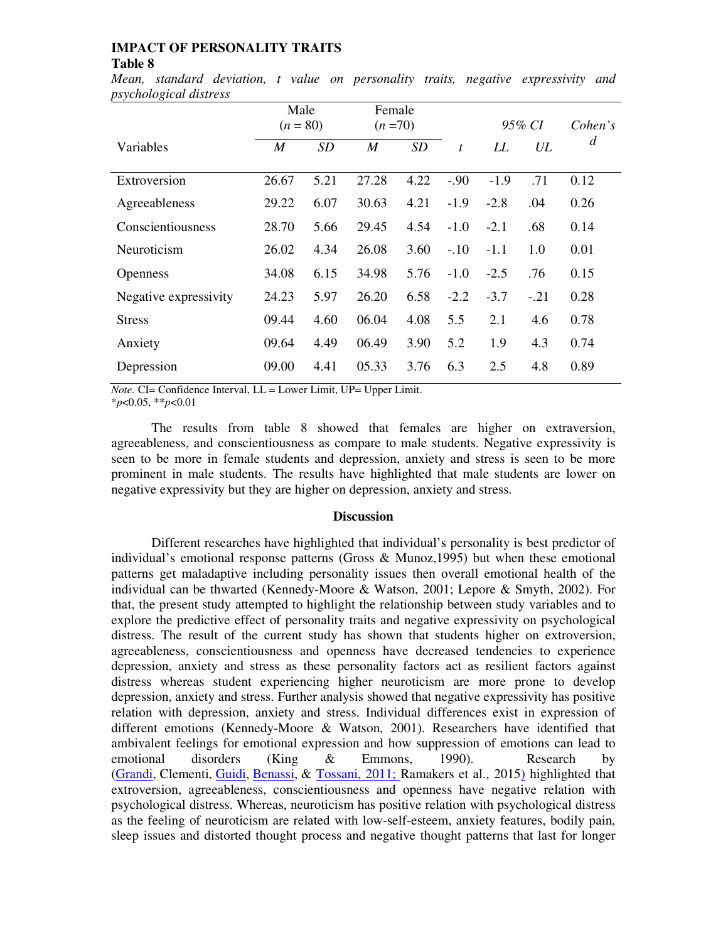*Mean, standard deviation, t value on personality traits, negative expressivity and psychological distress* 

|                       | Male<br>$(n = 80)$ |           | Female<br>$(n=70)$ |      |                  | 95% CI |        | Cohen's |
|-----------------------|--------------------|-----------|--------------------|------|------------------|--------|--------|---------|
| Variables             | M                  | <b>SD</b> | $\boldsymbol{M}$   | SD   | $\boldsymbol{t}$ | LL     | UL     | d       |
| Extroversion          | 26.67              | 5.21      | 27.28              | 4.22 | $-.90$           | $-1.9$ | .71    | 0.12    |
| Agreeableness         | 29.22              | 6.07      | 30.63              | 4.21 | $-1.9$           | $-2.8$ | .04    | 0.26    |
| Conscientiousness     | 28.70              | 5.66      | 29.45              | 4.54 | $-1.0$           | $-2.1$ | .68    | 0.14    |
| Neuroticism           | 26.02              | 4.34      | 26.08              | 3.60 | $-.10$           | $-1.1$ | 1.0    | 0.01    |
| <b>Openness</b>       | 34.08              | 6.15      | 34.98              | 5.76 | $-1.0$           | $-2.5$ | .76    | 0.15    |
| Negative expressivity | 24.23              | 5.97      | 26.20              | 6.58 | $-2.2$           | $-3.7$ | $-.21$ | 0.28    |
| <b>Stress</b>         | 09.44              | 4.60      | 06.04              | 4.08 | 5.5              | 2.1    | 4.6    | 0.78    |
| Anxiety               | 09.64              | 4.49      | 06.49              | 3.90 | 5.2              | 1.9    | 4.3    | 0.74    |
| Depression            | 09.00              | 4.41      | 05.33              | 3.76 | 6.3              | 2.5    | 4.8    | 0.89    |

*Note.* CI= Confidence Interval, LL = Lower Limit, UP= Upper Limit.

\**p*<0.05, \*\**p*<0.01

The results from table 8 showed that females are higher on extraversion, agreeableness, and conscientiousness as compare to male students. Negative expressivity is seen to be more in female students and depression, anxiety and stress is seen to be more prominent in male students. The results have highlighted that male students are lower on negative expressivity but they are higher on depression, anxiety and stress.

## **Discussion**

Different researches have highlighted that individual's personality is best predictor of individual's emotional response patterns (Gross & Munoz,1995) but when these emotional patterns get maladaptive including personality issues then overall emotional health of the individual can be thwarted (Kennedy-Moore & Watson, 2001; Lepore & Smyth, 2002). For that, the present study attempted to highlight the relationship between study variables and to explore the predictive effect of personality traits and negative expressivity on psychological distress. The result of the current study has shown that students higher on extroversion, agreeableness, conscientiousness and openness have decreased tendencies to experience depression, anxiety and stress as these personality factors act as resilient factors against distress whereas student experiencing higher neuroticism are more prone to develop depression, anxiety and stress. Further analysis showed that negative expressivity has positive relation with depression, anxiety and stress. Individual differences exist in expression of different emotions (Kennedy-Moore & Watson, 2001). Researchers have identified that ambivalent feelings for emotional expression and how suppression of emotions can lead to emotional disorders (King & Emmons, 1990). Research by (Grandi, Clementi, Guidi, Benassi, & Tossani, 2011; Ramakers et al., 2015) highlighted that extroversion, agreeableness, conscientiousness and openness have negative relation with psychological distress. Whereas, neuroticism has positive relation with psychological distress as the feeling of neuroticism are related with low-self-esteem, anxiety features, bodily pain, sleep issues and distorted thought process and negative thought patterns that last for longer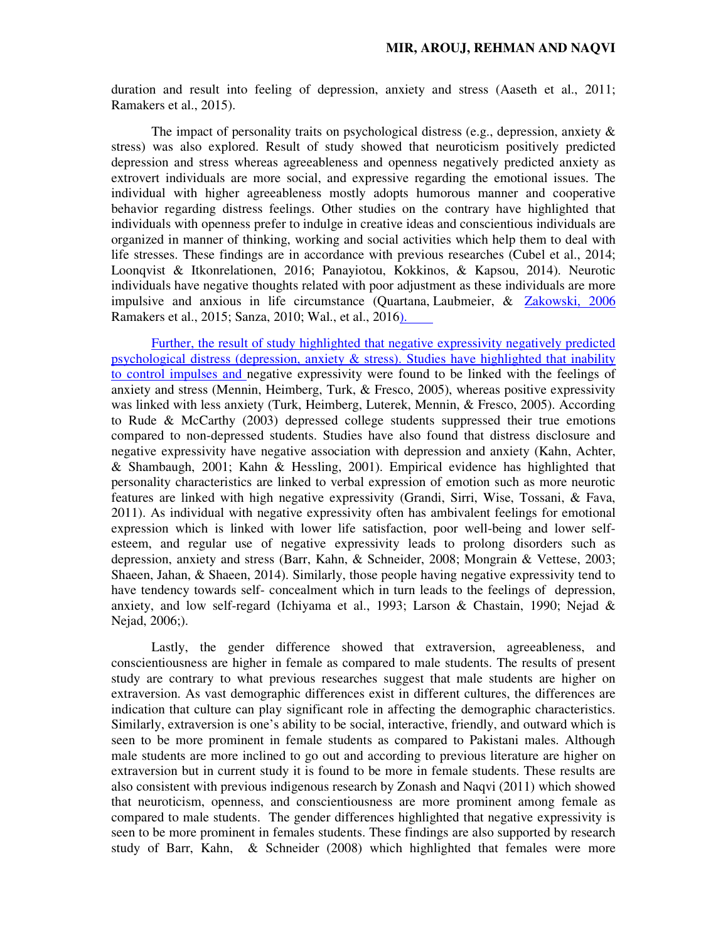duration and result into feeling of depression, anxiety and stress (Aaseth et al., 2011; Ramakers et al., 2015).

The impact of personality traits on psychological distress (e.g., depression, anxiety  $\&$ stress) was also explored. Result of study showed that neuroticism positively predicted depression and stress whereas agreeableness and openness negatively predicted anxiety as extrovert individuals are more social, and expressive regarding the emotional issues. The individual with higher agreeableness mostly adopts humorous manner and cooperative behavior regarding distress feelings. Other studies on the contrary have highlighted that individuals with openness prefer to indulge in creative ideas and conscientious individuals are organized in manner of thinking, working and social activities which help them to deal with life stresses. These findings are in accordance with previous researches (Cubel et al., 2014; Loonqvist & Itkonrelationen, 2016; Panayiotou, Kokkinos, & Kapsou, 2014). Neurotic individuals have negative thoughts related with poor adjustment as these individuals are more impulsive and anxious in life circumstance (Quartana, Laubmeier, & Zakowski, 2006 Ramakers et al., 2015; Sanza, 2010; Wal., et al., 2016).

Further, the result of study highlighted that negative expressivity negatively predicted psychological distress (depression, anxiety  $\&$  stress). Studies have highlighted that inability to control impulses and negative expressivity were found to be linked with the feelings of anxiety and stress (Mennin, Heimberg, Turk, & Fresco, 2005), whereas positive expressivity was linked with less anxiety (Turk, Heimberg, Luterek, Mennin, & Fresco, 2005). According to Rude & McCarthy (2003) depressed college students suppressed their true emotions compared to non-depressed students. Studies have also found that distress disclosure and negative expressivity have negative association with depression and anxiety (Kahn, Achter, & Shambaugh, 2001; Kahn & Hessling, 2001). Empirical evidence has highlighted that personality characteristics are linked to verbal expression of emotion such as more neurotic features are linked with high negative expressivity (Grandi, Sirri, Wise, Tossani, & Fava, 2011). As individual with negative expressivity often has ambivalent feelings for emotional expression which is linked with lower life satisfaction, poor well-being and lower selfesteem, and regular use of negative expressivity leads to prolong disorders such as depression, anxiety and stress (Barr, Kahn, & Schneider, 2008; Mongrain & Vettese, 2003; Shaeen, Jahan, & Shaeen, 2014). Similarly, those people having negative expressivity tend to have tendency towards self- concealment which in turn leads to the feelings of depression, anxiety, and low self-regard (Ichiyama et al., 1993; Larson & Chastain, 1990; Nejad & Nejad, 2006;).

Lastly, the gender difference showed that extraversion, agreeableness, and conscientiousness are higher in female as compared to male students. The results of present study are contrary to what previous researches suggest that male students are higher on extraversion. As vast demographic differences exist in different cultures, the differences are indication that culture can play significant role in affecting the demographic characteristics. Similarly, extraversion is one's ability to be social, interactive, friendly, and outward which is seen to be more prominent in female students as compared to Pakistani males. Although male students are more inclined to go out and according to previous literature are higher on extraversion but in current study it is found to be more in female students. These results are also consistent with previous indigenous research by Zonash and Naqvi (2011) which showed that neuroticism, openness, and conscientiousness are more prominent among female as compared to male students. The gender differences highlighted that negative expressivity is seen to be more prominent in females students. These findings are also supported by research study of Barr, Kahn, & Schneider (2008) which highlighted that females were more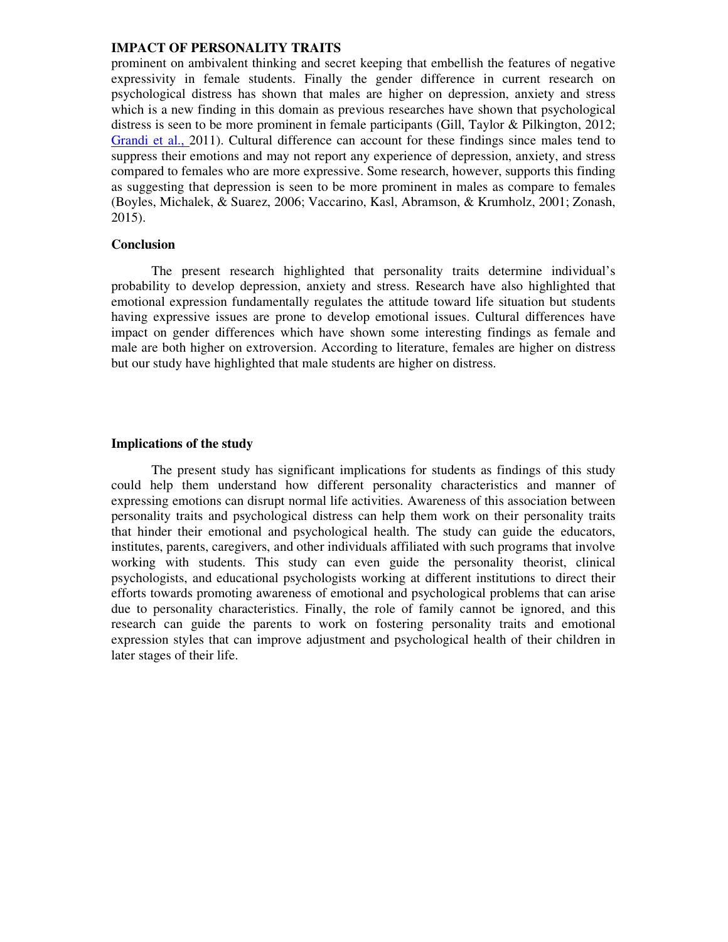prominent on ambivalent thinking and secret keeping that embellish the features of negative expressivity in female students. Finally the gender difference in current research on psychological distress has shown that males are higher on depression, anxiety and stress which is a new finding in this domain as previous researches have shown that psychological distress is seen to be more prominent in female participants (Gill, Taylor & Pilkington, 2012; Grandi et al., 2011). Cultural difference can account for these findings since males tend to suppress their emotions and may not report any experience of depression, anxiety, and stress compared to females who are more expressive. Some research, however, supports this finding as suggesting that depression is seen to be more prominent in males as compare to females (Boyles, Michalek, & Suarez, 2006; Vaccarino, Kasl, Abramson, & Krumholz, 2001; Zonash, 2015).

## **Conclusion**

The present research highlighted that personality traits determine individual's probability to develop depression, anxiety and stress. Research have also highlighted that emotional expression fundamentally regulates the attitude toward life situation but students having expressive issues are prone to develop emotional issues. Cultural differences have impact on gender differences which have shown some interesting findings as female and male are both higher on extroversion. According to literature, females are higher on distress but our study have highlighted that male students are higher on distress.

## **Implications of the study**

The present study has significant implications for students as findings of this study could help them understand how different personality characteristics and manner of expressing emotions can disrupt normal life activities. Awareness of this association between personality traits and psychological distress can help them work on their personality traits that hinder their emotional and psychological health. The study can guide the educators, institutes, parents, caregivers, and other individuals affiliated with such programs that involve working with students. This study can even guide the personality theorist, clinical psychologists, and educational psychologists working at different institutions to direct their efforts towards promoting awareness of emotional and psychological problems that can arise due to personality characteristics. Finally, the role of family cannot be ignored, and this research can guide the parents to work on fostering personality traits and emotional expression styles that can improve adjustment and psychological health of their children in later stages of their life.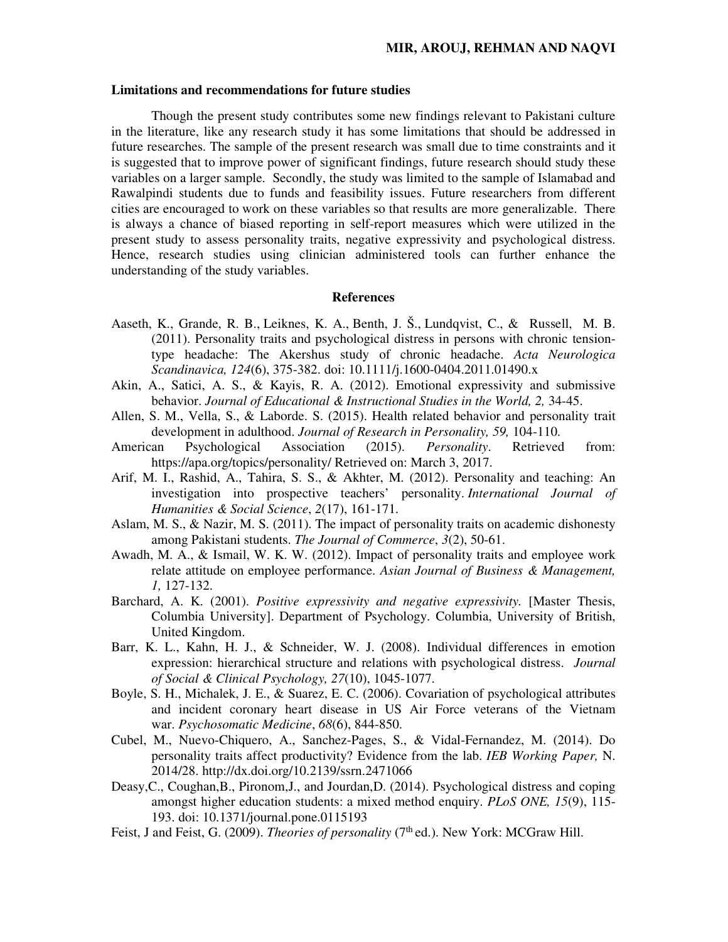#### **Limitations and recommendations for future studies**

Though the present study contributes some new findings relevant to Pakistani culture in the literature, like any research study it has some limitations that should be addressed in future researches. The sample of the present research was small due to time constraints and it is suggested that to improve power of significant findings, future research should study these variables on a larger sample. Secondly, the study was limited to the sample of Islamabad and Rawalpindi students due to funds and feasibility issues. Future researchers from different cities are encouraged to work on these variables so that results are more generalizable. There is always a chance of biased reporting in self-report measures which were utilized in the present study to assess personality traits, negative expressivity and psychological distress. Hence, research studies using clinician administered tools can further enhance the understanding of the study variables.

### **References**

- Aaseth, K., Grande, R. B., Leiknes, K. A., Benth, J. Š., Lundqvist, C., & Russell, M. B. (2011). Personality traits and psychological distress in persons with chronic tensiontype headache: The Akershus study of chronic headache. *Acta Neurologica Scandinavica, 124*(6), 375-382. doi: 10.1111/j.1600-0404.2011.01490.x
- Akin, A., Satici, A. S., & Kayis, R. A. (2012). Emotional expressivity and submissive behavior. *Journal of Educational & Instructional Studies in the World, 2, 34-45.*
- Allen, S. M., Vella, S., & Laborde. S. (2015). Health related behavior and personality trait development in adulthood. *Journal of Research in Personality, 59,* 104-110.
- American Psychological Association (2015). *Personality*. Retrieved from: https://apa.org/topics/personality/ Retrieved on: March 3, 2017.
- Arif, M. I., Rashid, A., Tahira, S. S., & Akhter, M. (2012). Personality and teaching: An investigation into prospective teachers' personality. *International Journal of Humanities & Social Science*, *2*(17), 161-171.
- Aslam, M. S., & Nazir, M. S. (2011). The impact of personality traits on academic dishonesty among Pakistani students. *The Journal of Commerce*, *3*(2), 50-61.
- Awadh, M. A., & Ismail, W. K. W. (2012). Impact of personality traits and employee work relate attitude on employee performance. *Asian Journal of Business & Management, 1,* 127-132.
- Barchard, A. K. (2001). *Positive expressivity and negative expressivity*. [Master Thesis, Columbia University]. Department of Psychology. Columbia, University of British, United Kingdom.
- Barr, K. L., Kahn, H. J., & Schneider, W. J. (2008). Individual differences in emotion expression: hierarchical structure and relations with psychological distress. *Journal of Social & Clinical Psychology, 27*(10), 1045-1077.
- Boyle, S. H., Michalek, J. E., & Suarez, E. C. (2006). Covariation of psychological attributes and incident coronary heart disease in US Air Force veterans of the Vietnam war. *Psychosomatic Medicine*, *68*(6), 844-850.
- Cubel, M., Nuevo-Chiquero, A., Sanchez-Pages, S., & Vidal-Fernandez, M. (2014). Do personality traits affect productivity? Evidence from the lab. *IEB Working Paper,* N. 2014/28. http://dx.doi.org/10.2139/ssrn.2471066
- Deasy,C., Coughan,B., Pironom,J., and Jourdan,D. (2014). Psychological distress and coping amongst higher education students: a mixed method enquiry. *PLoS ONE, 15*(9), 115- 193. doi: 10.1371/journal.pone.0115193
- Feist, J and Feist, G. (2009). *Theories of personality* (7<sup>th</sup> ed.). New York: MCGraw Hill.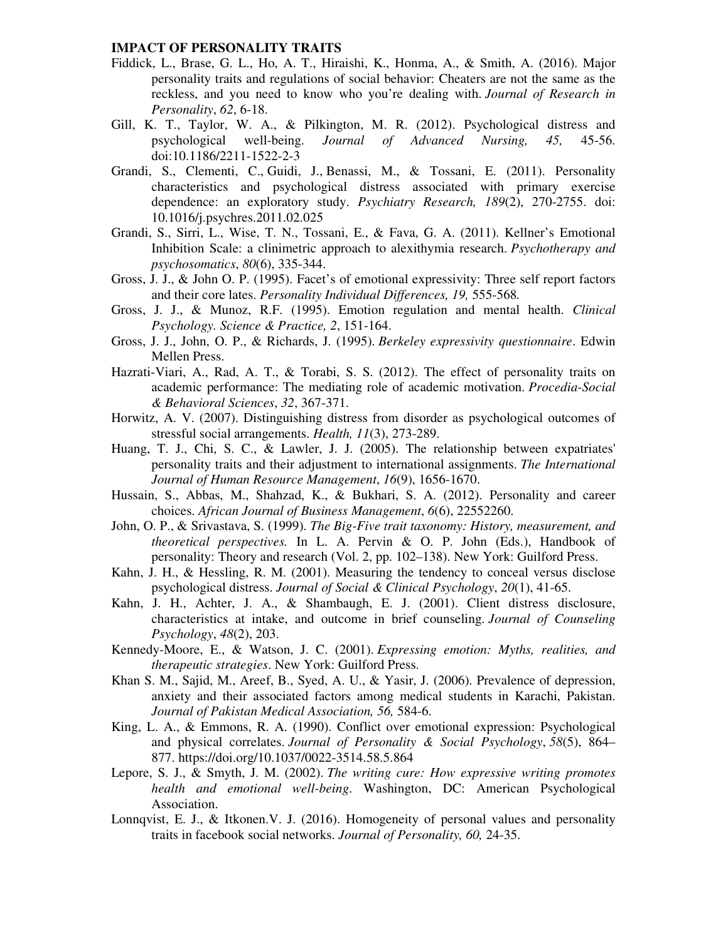- Fiddick, L., Brase, G. L., Ho, A. T., Hiraishi, K., Honma, A., & Smith, A. (2016). Major personality traits and regulations of social behavior: Cheaters are not the same as the reckless, and you need to know who you're dealing with. *Journal of Research in Personality*, *62*, 6-18.
- Gill, K. T., Taylor, W. A., & Pilkington, M. R. (2012). Psychological distress and psychological well-being. *Journal of Advanced Nursing, 45,* 45-56. doi:10.1186/2211-1522-2-3
- Grandi, S., Clementi, C., Guidi, J., Benassi, M., & Tossani, E. (2011). Personality characteristics and psychological distress associated with primary exercise dependence: an exploratory study. *Psychiatry Research, 189*(2), 270-2755. doi: 10.1016/j.psychres.2011.02.025
- Grandi, S., Sirri, L., Wise, T. N., Tossani, E., & Fava, G. A. (2011). Kellner's Emotional Inhibition Scale: a clinimetric approach to alexithymia research. *Psychotherapy and psychosomatics*, *80*(6), 335-344.
- Gross, J. J., & John O. P. (1995). Facet's of emotional expressivity: Three self report factors and their core lates. *Personality Individual Differences, 19,* 555-568*.*
- Gross, J. J., & Munoz, R.F. (1995). Emotion regulation and mental health. *Clinical Psychology. Science & Practice, 2*, 151-164.
- Gross, J. J., John, O. P., & Richards, J. (1995). *Berkeley expressivity questionnaire*. Edwin Mellen Press.
- Hazrati-Viari, A., Rad, A. T., & Torabi, S. S. (2012). The effect of personality traits on academic performance: The mediating role of academic motivation. *Procedia-Social & Behavioral Sciences*, *32*, 367-371.
- Horwitz, A. V. (2007). Distinguishing distress from disorder as psychological outcomes of stressful social arrangements. *Health, 11*(3), 273-289.
- Huang, T. J., Chi, S. C., & Lawler, J. J. (2005). The relationship between expatriates' personality traits and their adjustment to international assignments. *The International Journal of Human Resource Management*, *16*(9), 1656-1670.
- Hussain, S., Abbas, M., Shahzad, K., & Bukhari, S. A. (2012). Personality and career choices. *African Journal of Business Management*, *6*(6), 22552260.
- John, O. P., & Srivastava, S. (1999). *The Big-Five trait taxonomy: History, measurement, and theoretical perspectives.* In L. A. Pervin & O. P. John (Eds.), Handbook of personality: Theory and research (Vol. 2, pp. 102–138). New York: Guilford Press.
- Kahn, J. H., & Hessling, R. M. (2001). Measuring the tendency to conceal versus disclose psychological distress. *Journal of Social & Clinical Psychology*, *20*(1), 41-65.
- Kahn, J. H., Achter, J. A., & Shambaugh, E. J. (2001). Client distress disclosure, characteristics at intake, and outcome in brief counseling. *Journal of Counseling Psychology*, *48*(2), 203.
- Kennedy-Moore, E., & Watson, J. C. (2001). *Expressing emotion: Myths, realities, and therapeutic strategies*. New York: Guilford Press.
- Khan S. M., Sajid, M., Areef, B., Syed, A. U., & Yasir, J. (2006). Prevalence of depression, anxiety and their associated factors among medical students in Karachi, Pakistan. *Journal of Pakistan Medical Association, 56,* 584-6.
- King, L. A., & Emmons, R. A. (1990). Conflict over emotional expression: Psychological and physical correlates. *Journal of Personality & Social Psychology*, *58*(5), 864– 877. https://doi.org/10.1037/0022-3514.58.5.864
- Lepore, S. J., & Smyth, J. M. (2002). *The writing cure: How expressive writing promotes health and emotional well-being*. Washington, DC: American Psychological Association.
- Lonnqvist, E. J., & Itkonen. V. J. (2016). Homogeneity of personal values and personality traits in facebook social networks. *Journal of Personality, 60,* 24-35.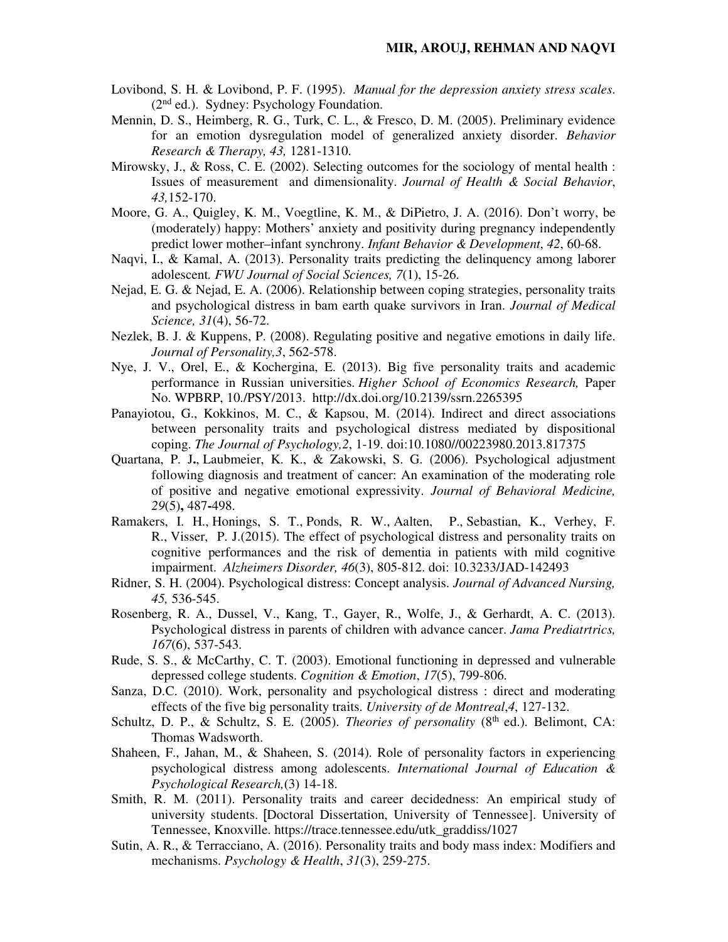- Lovibond, S. H. & Lovibond, P. F. (1995). *Manual for the depression anxiety stress scales*. (2nd ed.). Sydney: Psychology Foundation.
- Mennin, D. S., Heimberg, R. G., Turk, C. L., & Fresco, D. M. (2005). Preliminary evidence for an emotion dysregulation model of generalized anxiety disorder. *Behavior Research & Therapy, 43,* 1281-1310.
- Mirowsky, J., & Ross, C. E.  $(2002)$ . Selecting outcomes for the sociology of mental health : Issues of measurement and dimensionality. *Journal of Health & Social Behavior*, *43,*152-170.
- Moore, G. A., Quigley, K. M., Voegtline, K. M., & DiPietro, J. A. (2016). Don't worry, be (moderately) happy: Mothers' anxiety and positivity during pregnancy independently predict lower mother–infant synchrony. *Infant Behavior & Development*, *42*, 60-68.
- Naqvi, I., & Kamal, A. (2013). Personality traits predicting the delinquency among laborer adolescent*. FWU Journal of Social Sciences, 7*(1), 15-26.
- Nejad, E. G. & Nejad, E. A. (2006). Relationship between coping strategies, personality traits and psychological distress in bam earth quake survivors in Iran. *Journal of Medical Science, 31*(4), 56-72.
- Nezlek, B. J. & Kuppens, P. (2008). Regulating positive and negative emotions in daily life. *Journal of Personality,3*, 562-578.
- Nye, J. V., Orel, E., & Kochergina, E. (2013). Big five personality traits and academic performance in Russian universities. *Higher School of Economics Research,* Paper No. WPBRP, 10./PSY/2013. http://dx.doi.org/10.2139/ssrn.2265395
- Panayiotou, G., Kokkinos, M. C., & Kapsou, M. (2014). Indirect and direct associations between personality traits and psychological distress mediated by dispositional coping. *The Journal of Psychology,2*, 1-19. doi:10.1080//00223980.2013.817375
- Quartana, P. J**.**, Laubmeier, K. K., & Zakowski, S. G. (2006). Psychological adjustment following diagnosis and treatment of cancer: An examination of the moderating role of positive and negative emotional expressivity. *Journal of Behavioral Medicine, 29*(5)**,** 487**-**498.
- Ramakers, I. H., Honings, S. T., Ponds, R. W., Aalten, P., Sebastian, K., Verhey, F. R., Visser, P. J.(2015). The effect of psychological distress and personality traits on cognitive performances and the risk of dementia in patients with mild cognitive impairment. *Alzheimers Disorder, 46*(3), 805-812. doi: 10.3233/JAD-142493
- Ridner, S. H. (2004). Psychological distress: Concept analysis. *Journal of Advanced Nursing, 45,* 536-545.
- Rosenberg, R. A., Dussel, V., Kang, T., Gayer, R., Wolfe, J., & Gerhardt, A. C. (2013). Psychological distress in parents of children with advance cancer. *Jama Prediatrtrics, 167*(6), 537-543.
- Rude, S. S., & McCarthy, C. T. (2003). Emotional functioning in depressed and vulnerable depressed college students. *Cognition & Emotion*, *17*(5), 799-806.
- Sanza, D.C. (2010). Work, personality and psychological distress : direct and moderating effects of the five big personality traits. *University of de Montreal*,*4*, 127-132.
- Schultz, D. P., & Schultz, S. E. (2005). *Theories of personality* (8<sup>th</sup> ed.). Belimont, CA: Thomas Wadsworth.
- Shaheen, F., Jahan, M., & Shaheen, S. (2014). Role of personality factors in experiencing psychological distress among adolescents. *International Journal of Education & Psychological Research,*(3) 14-18.
- Smith, R. M. (2011). Personality traits and career decidedness: An empirical study of university students. [Doctoral Dissertation, University of Tennessee]. University of Tennessee, Knoxville. https://trace.tennessee.edu/utk\_graddiss/1027
- Sutin, A. R., & Terracciano, A. (2016). Personality traits and body mass index: Modifiers and mechanisms. *Psychology & Health*, *31*(3), 259-275.